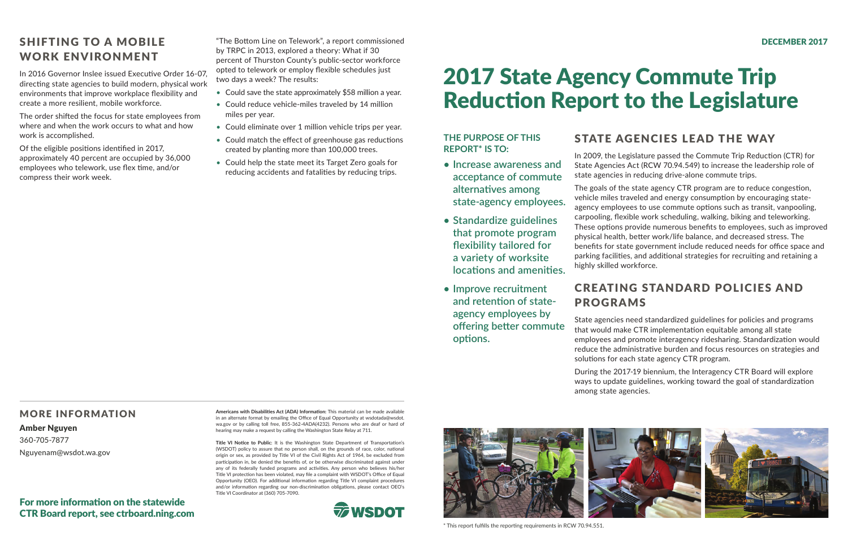# 2017 State Agency Commute Trip Reduction Report to the Legislature

## STATE AGENCIES LEAD THE WAY

In 2009, the Legislature passed the Commute Trip Reduction (CTR) for State Agencies Act (RCW 70.94.549) to increase the leadership role of state agencies in reducing drive-alone commute trips.

The goals of the state agency CTR program are to reduce congestion, vehicle miles traveled and energy consumption by encouraging stateagency employees to use commute options such as transit, vanpooling, carpooling, flexible work scheduling, walking, biking and teleworking. These options provide numerous benefits to employees, such as improved physical health, better work/life balance, and decreased stress. The benefits for state government include reduced needs for office space and parking facilities, and additional strategies for recruiting and retaining a highly skilled workforce.

## CREATING STANDARD POLICIES AND PROGRAMS

State agencies need standardized guidelines for policies and programs that would make CTR implementation equitable among all state employees and promote interagency ridesharing. Standardization would reduce the administrative burden and focus resources on strategies and solutions for each state agency CTR program.

During the 2017-19 biennium, the Interagency CTR Board will explore ways to update guidelines, working toward the goal of standardization among state agencies.

### MORE INFORMATION

### Amber Nguyen

360-705-7877 Nguyenam@wsdot.wa.gov

**Americans with Disabilities Act (ADA) Information:** This material can be made available in an alternate format by emailing the Office of Equal Opportunity at wsdotada@wsdot. wa.gov or by calling toll free, 855-362-4ADA(4232). Persons who are deaf or hard of hearing may make a request by calling the Washington State Relay at 711.

- Could save the state approximately \$58 million a year.
- Could reduce vehicle-miles traveled by 14 million miles per year.
- Could eliminate over 1 million vehicle trips per year.
- Could match the effect of greenhouse gas reductions created by planting more than 100,000 trees.
- Could help the state meet its Target Zero goals for reducing accidents and fatalities by reducing trips.

**Title VI Notice to Public**: It is the Washington State Department of Transportation's (WSDOT) policy to assure that no person shall, on the grounds of race, color, national origin or sex, as provided by Title VI of the Civil Rights Act of 1964, be excluded from participation in, be denied the benefits of, or be otherwise discriminated against under any of its federally funded programs and activities. Any person who believes his/her Title VI protection has been violated, may file a complaint with WSDOT's Office of Equal Opportunity (OEO). For additional information regarding Title VI complaint procedures and/or information regarding our non-discrimination obligations, please contact OEO's Title VI Coordinator at (360) 705-7090.





### **THE PURPOSE OF THIS REPORT\* IS TO:**

- **• Increase awareness and acceptance of commute alternatives among state-agency employees.**
- **• Standardize guidelines that promote program flexibility tailored for a variety of worksite locations and amenities.**
- **• Improve recruitment and retention of stateagency employees by offering better commute options.**

\* This report fulfills the reporting requirements in RCW 70.94.551.

## SHIFTING TO A MOBILE WORK ENVIRONMENT

In 2016 Governor Inslee issued Executive Order 16-07, directing state agencies to build modern, physical work environments that improve workplace flexibility and create a more resilient, mobile workforce.

The order shifted the focus for state employees from where and when the work occurs to what and how work is accomplished.

Of the eligible positions identified in 2017, approximately 40 percent are occupied by 36,000 employees who telework, use flex time, and/or compress their work week.

"The Bottom Line on Telework", a report commissioned by TRPC in 2013, explored a theory: What if 30 percent of Thurston County's public-sector workforce opted to telework or employ flexible schedules just two days a week? The results:

### For more information on the statewide CTR Board report, see ctrboard.ning.com